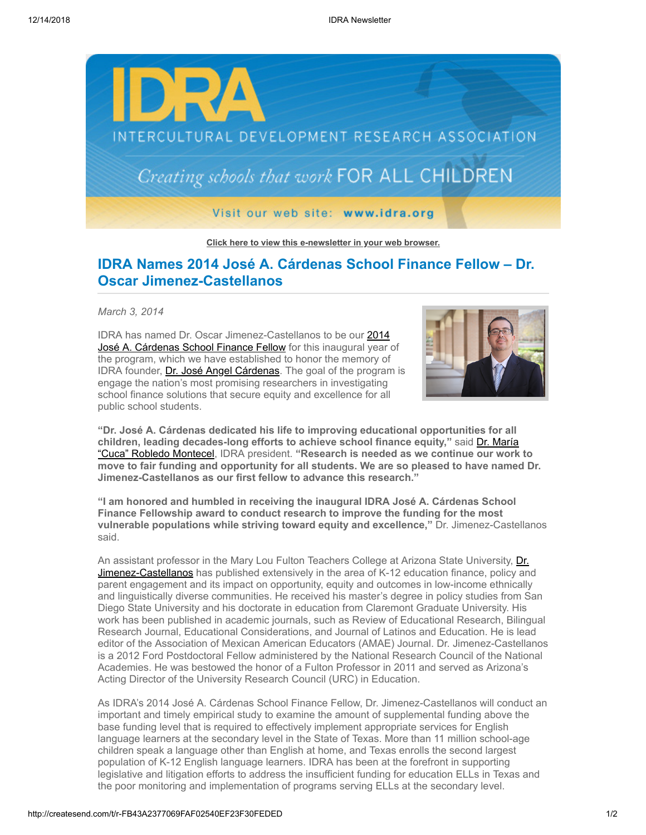

**[Click here to view this e-newsletter in your web browser.](http://newsletter.impulsedevelopment.com/t/r-e-phykijd-l-r/)**

## **IDRA Names 2014 José A. Cárdenas School Finance Fellow – Dr. Oscar Jimenez-Castellanos**

*March 3, 2014*

IDRA has named Dr. Oscar Jimenez-Castellanos to be our 2014 [José A. Cárdenas School Finance Fellow for this inaugural year](http://idra.createsend1.com/t/r-l-phykijd-l-i/) of the program, which we have established to honor the memory of IDRA founder, [Dr. José Angel Cárdenas](http://idra.createsend1.com/t/r-l-phykijd-l-d/). The goal of the program is engage the nation's most promising researchers in investigating school finance solutions that secure equity and excellence for all public school students.



**"Dr. José A. Cárdenas dedicated his life to improving educational opportunities for all [children, leading decades-long efforts to achieve school finance equity,"](http://idra.createsend1.com/t/r-l-phykijd-l-o/)** said Dr. María "Cuca" Robledo Montecel, IDRA president. **"Research is needed as we continue our work to move to fair funding and opportunity for all students. We are so pleased to have named Dr. Jimenez-Castellanos as our first fellow to advance this research."**

**"I am honored and humbled in receiving the inaugural IDRA José A. Cárdenas School Finance Fellowship award to conduct research to improve the funding for the most vulnerable populations while striving toward equity and excellence,"** Dr. Jimenez-Castellanos said.

[An assistant professor in the Mary Lou Fulton Teachers College at Arizona State University, Dr.](http://idra.createsend1.com/t/r-l-phykijd-l-b/) Jimenez-Castellanos has published extensively in the area of K-12 education finance, policy and parent engagement and its impact on opportunity, equity and outcomes in low-income ethnically and linguistically diverse communities. He received his master's degree in policy studies from San Diego State University and his doctorate in education from Claremont Graduate University. His work has been published in academic journals, such as Review of Educational Research, Bilingual Research Journal, Educational Considerations, and Journal of Latinos and Education. He is lead editor of the Association of Mexican American Educators (AMAE) Journal. Dr. Jimenez-Castellanos is a 2012 Ford Postdoctoral Fellow administered by the National Research Council of the National Academies. He was bestowed the honor of a Fulton Professor in 2011 and served as Arizona's Acting Director of the University Research Council (URC) in Education.

As IDRA's 2014 José A. Cárdenas School Finance Fellow, Dr. Jimenez-Castellanos will conduct an important and timely empirical study to examine the amount of supplemental funding above the base funding level that is required to effectively implement appropriate services for English language learners at the secondary level in the State of Texas. More than 11 million school-age children speak a language other than English at home, and Texas enrolls the second largest population of K-12 English language learners. IDRA has been at the forefront in supporting legislative and litigation efforts to address the insufficient funding for education ELLs in Texas and the poor monitoring and implementation of programs serving ELLs at the secondary level.